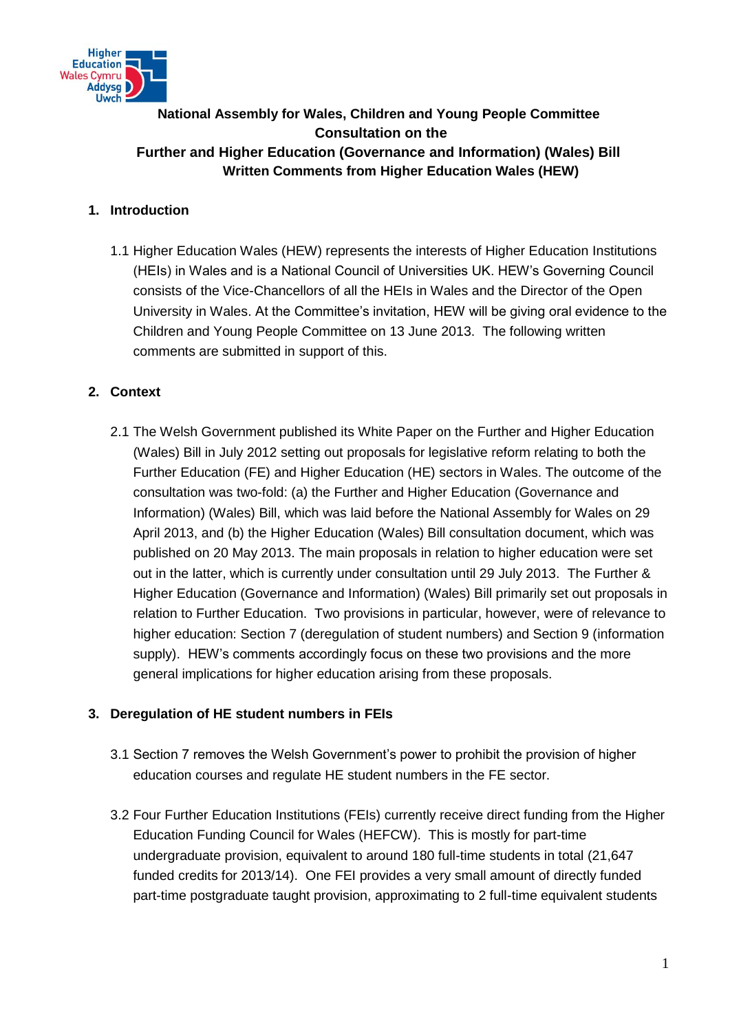

# **National Assembly for Wales, Children and Young People Committee Consultation on the Further and Higher Education (Governance and Information) (Wales) Bill Written Comments from Higher Education Wales (HEW)**

## **1. Introduction**

1.1 Higher Education Wales (HEW) represents the interests of Higher Education Institutions (HEIs) in Wales and is a National Council of Universities UK. HEW's Governing Council consists of the Vice-Chancellors of all the HEIs in Wales and the Director of the Open University in Wales. At the Committee's invitation, HEW will be giving oral evidence to the Children and Young People Committee on 13 June 2013. The following written comments are submitted in support of this.

## **2. Context**

2.1 The Welsh Government published its White Paper on the Further and Higher Education (Wales) Bill in July 2012 setting out proposals for legislative reform relating to both the Further Education (FE) and Higher Education (HE) sectors in Wales. The outcome of the consultation was two-fold: (a) the Further and Higher Education (Governance and Information) (Wales) Bill, which was laid before the National Assembly for Wales on 29 April 2013, and (b) the Higher Education (Wales) Bill consultation document, which was published on 20 May 2013. The main proposals in relation to higher education were set out in the latter, which is currently under consultation until 29 July 2013. The Further & Higher Education (Governance and Information) (Wales) Bill primarily set out proposals in relation to Further Education. Two provisions in particular, however, were of relevance to higher education: Section 7 (deregulation of student numbers) and Section 9 (information supply). HEW's comments accordingly focus on these two provisions and the more general implications for higher education arising from these proposals.

#### **3. Deregulation of HE student numbers in FEIs**

- 3.1 Section 7 removes the Welsh Government's power to prohibit the provision of higher education courses and regulate HE student numbers in the FE sector.
- 3.2 Four Further Education Institutions (FEIs) currently receive direct funding from the Higher Education Funding Council for Wales (HEFCW). This is mostly for part-time undergraduate provision, equivalent to around 180 full-time students in total (21,647 funded credits for 2013/14). One FEI provides a very small amount of directly funded part-time postgraduate taught provision, approximating to 2 full-time equivalent students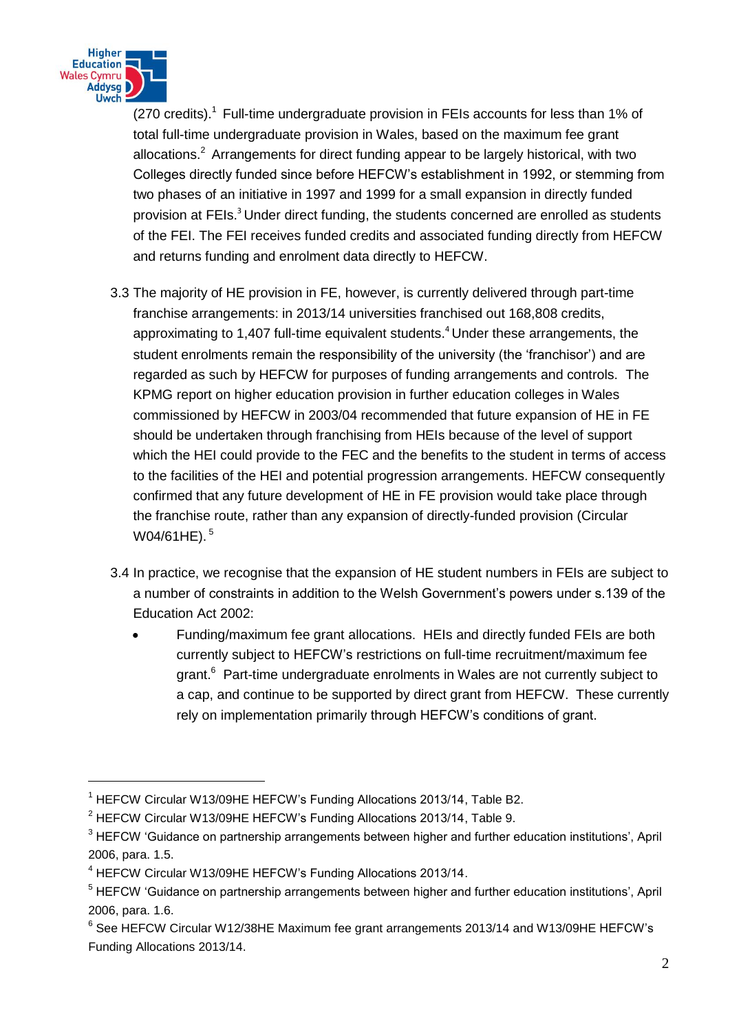

<u>.</u>

(270 credits).<sup>1</sup> Full-time undergraduate provision in FEIs accounts for less than 1% of total full-time undergraduate provision in Wales, based on the maximum fee grant allocations.<sup>2</sup> Arrangements for direct funding appear to be largely historical, with two Colleges directly funded since before HEFCW's establishment in 1992, or stemming from two phases of an initiative in 1997 and 1999 for a small expansion in directly funded provision at FEIs.<sup>3</sup> Under direct funding, the students concerned are enrolled as students of the FEI. The FEI receives funded credits and associated funding directly from HEFCW and returns funding and enrolment data directly to HEFCW.

- 3.3 The majority of HE provision in FE, however, is currently delivered through part-time franchise arrangements: in 2013/14 universities franchised out 168,808 credits, approximating to 1,407 full-time equivalent students.<sup>4</sup> Under these arrangements, the student enrolments remain the responsibility of the university (the 'franchisor') and are regarded as such by HEFCW for purposes of funding arrangements and controls. The KPMG report on higher education provision in further education colleges in Wales commissioned by HEFCW in 2003/04 recommended that future expansion of HE in FE should be undertaken through franchising from HEIs because of the level of support which the HEI could provide to the FEC and the benefits to the student in terms of access to the facilities of the HEI and potential progression arrangements. HEFCW consequently confirmed that any future development of HE in FE provision would take place through the franchise route, rather than any expansion of directly-funded provision (Circular W04/61HE).<sup>5</sup>
- 3.4 In practice, we recognise that the expansion of HE student numbers in FEIs are subject to a number of constraints in addition to the Welsh Government's powers under s.139 of the Education Act 2002:
	- Funding/maximum fee grant allocations. HEIs and directly funded FEIs are both currently subject to HEFCW's restrictions on full-time recruitment/maximum fee grant.<sup>6</sup> Part-time undergraduate enrolments in Wales are not currently subject to a cap, and continue to be supported by direct grant from HEFCW. These currently rely on implementation primarily through HEFCW's conditions of grant.

<sup>&</sup>lt;sup>1</sup> HEFCW Circular W13/09HE HEFCW's Funding Allocations 2013/14, Table B2.

<sup>&</sup>lt;sup>2</sup> HEFCW Circular W13/09HE HEFCW's Funding Allocations 2013/14, Table 9.

<sup>&</sup>lt;sup>3</sup> HEFCW 'Guidance on partnership arrangements between higher and further education institutions', April 2006, para. 1.5.

<sup>4</sup> HEFCW Circular W13/09HE HEFCW's Funding Allocations 2013/14.

<sup>&</sup>lt;sup>5</sup> HEFCW 'Guidance on partnership arrangements between higher and further education institutions', April 2006, para. 1.6.

<sup>&</sup>lt;sup>6</sup> See HEFCW Circular W12/38HE Maximum fee grant arrangements 2013/14 and W13/09HE HEFCW's Funding Allocations 2013/14.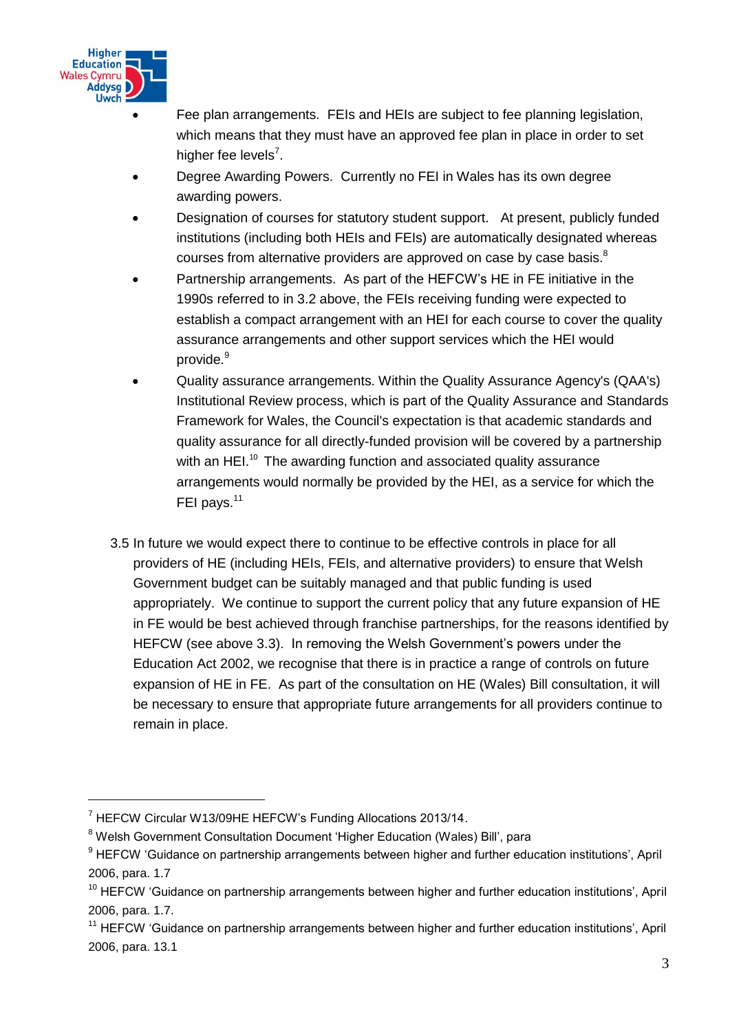

<u>.</u>

- Fee plan arrangements. FEIs and HEIs are subject to fee planning legislation, which means that they must have an approved fee plan in place in order to set higher fee levels<sup>7</sup>.
- Degree Awarding Powers. Currently no FEI in Wales has its own degree awarding powers.
- Designation of courses for statutory student support. At present, publicly funded institutions (including both HEIs and FEIs) are automatically designated whereas courses from alternative providers are approved on case by case basis.<sup>8</sup>
- Partnership arrangements. As part of the HEFCW's HE in FE initiative in the 1990s referred to in 3.2 above, the FEIs receiving funding were expected to establish a compact arrangement with an HEI for each course to cover the quality assurance arrangements and other support services which the HEI would provide.<sup>9</sup>
- Quality assurance arrangements. Within the Quality Assurance Agency's (QAA's) Institutional Review process, which is part of the Quality Assurance and Standards Framework for Wales, the Council's expectation is that academic standards and quality assurance for all directly-funded provision will be covered by a partnership with an HEI.<sup>10</sup> The awarding function and associated quality assurance arrangements would normally be provided by the HEI, as a service for which the FEI pays.<sup>11</sup>
- 3.5 In future we would expect there to continue to be effective controls in place for all providers of HE (including HEIs, FEIs, and alternative providers) to ensure that Welsh Government budget can be suitably managed and that public funding is used appropriately. We continue to support the current policy that any future expansion of HE in FE would be best achieved through franchise partnerships, for the reasons identified by HEFCW (see above 3.3). In removing the Welsh Government's powers under the Education Act 2002, we recognise that there is in practice a range of controls on future expansion of HE in FE. As part of the consultation on HE (Wales) Bill consultation, it will be necessary to ensure that appropriate future arrangements for all providers continue to remain in place.

<sup>7</sup> HEFCW Circular W13/09HE HEFCW's Funding Allocations 2013/14.

<sup>&</sup>lt;sup>8</sup> Welsh Government Consultation Document 'Higher Education (Wales) Bill', para

<sup>&</sup>lt;sup>9</sup> HEFCW 'Guidance on partnership arrangements between higher and further education institutions', April 2006, para. 1.7

<sup>&</sup>lt;sup>10</sup> HEFCW 'Guidance on partnership arrangements between higher and further education institutions', April 2006, para. 1.7.

<sup>&</sup>lt;sup>11</sup> HEFCW 'Guidance on partnership arrangements between higher and further education institutions', April 2006, para. 13.1